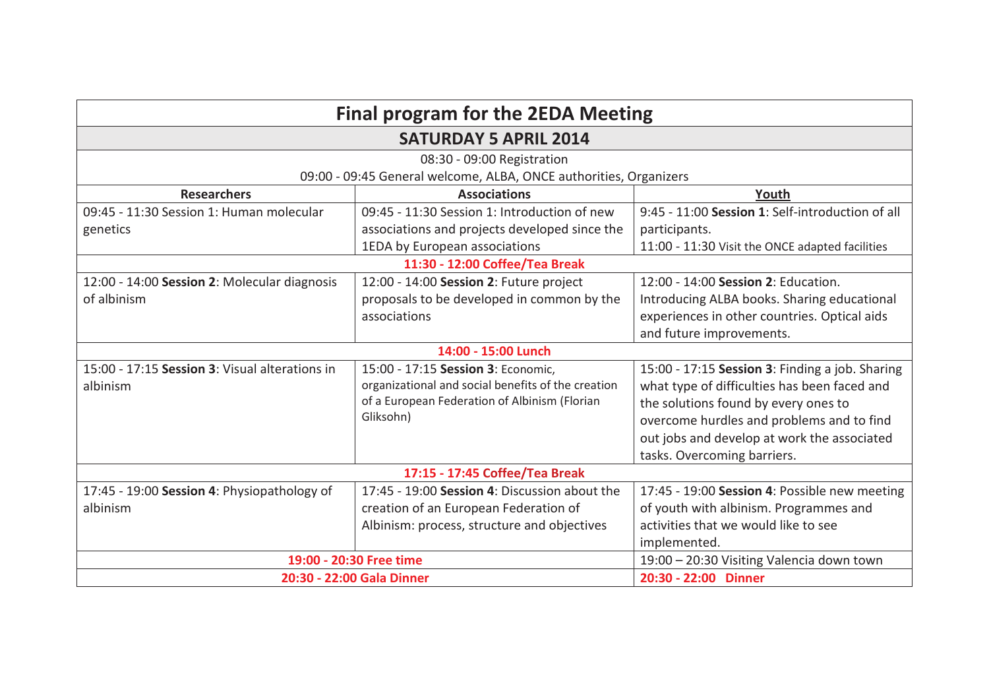| <b>Final program for the 2EDA Meeting</b><br><b>SATURDAY 5 APRIL 2014</b> |                                                    |                                                  |                            |
|---------------------------------------------------------------------------|----------------------------------------------------|--------------------------------------------------|----------------------------|
|                                                                           |                                                    |                                                  | 08:30 - 09:00 Registration |
| 09:00 - 09:45 General welcome, ALBA, ONCE authorities, Organizers         |                                                    |                                                  |                            |
| <b>Researchers</b>                                                        | <b>Associations</b>                                | Youth                                            |                            |
| 09:45 - 11:30 Session 1: Human molecular                                  | 09:45 - 11:30 Session 1: Introduction of new       | 9:45 - 11:00 Session 1: Self-introduction of all |                            |
| genetics                                                                  | associations and projects developed since the      | participants.                                    |                            |
|                                                                           | 1EDA by European associations                      | 11:00 - 11:30 Visit the ONCE adapted facilities  |                            |
| 11:30 - 12:00 Coffee/Tea Break                                            |                                                    |                                                  |                            |
| 12:00 - 14:00 Session 2: Molecular diagnosis                              | 12:00 - 14:00 Session 2: Future project            | 12:00 - 14:00 Session 2: Education.              |                            |
| of albinism                                                               | proposals to be developed in common by the         | Introducing ALBA books. Sharing educational      |                            |
|                                                                           | associations                                       | experiences in other countries. Optical aids     |                            |
|                                                                           |                                                    | and future improvements.                         |                            |
| 14:00 - 15:00 Lunch                                                       |                                                    |                                                  |                            |
| 15:00 - 17:15 Session 3: Visual alterations in                            | 15:00 - 17:15 Session 3: Economic,                 | 15:00 - 17:15 Session 3: Finding a job. Sharing  |                            |
| albinism                                                                  | organizational and social benefits of the creation | what type of difficulties has been faced and     |                            |
|                                                                           | of a European Federation of Albinism (Florian      | the solutions found by every ones to             |                            |
|                                                                           | Gliksohn)                                          | overcome hurdles and problems and to find        |                            |
|                                                                           |                                                    | out jobs and develop at work the associated      |                            |
|                                                                           |                                                    | tasks. Overcoming barriers.                      |                            |
| 17:15 - 17:45 Coffee/Tea Break                                            |                                                    |                                                  |                            |
| 17:45 - 19:00 Session 4: Physiopathology of                               | 17:45 - 19:00 Session 4: Discussion about the      | 17:45 - 19:00 Session 4: Possible new meeting    |                            |
| albinism                                                                  | creation of an European Federation of              | of youth with albinism. Programmes and           |                            |
|                                                                           | Albinism: process, structure and objectives        | activities that we would like to see             |                            |
|                                                                           |                                                    | implemented.                                     |                            |
| 19:00 - 20:30 Free time                                                   |                                                    | 19:00 - 20:30 Visiting Valencia down town        |                            |
| 20:30 - 22:00 Gala Dinner                                                 |                                                    | 20:30 - 22:00 Dinner                             |                            |